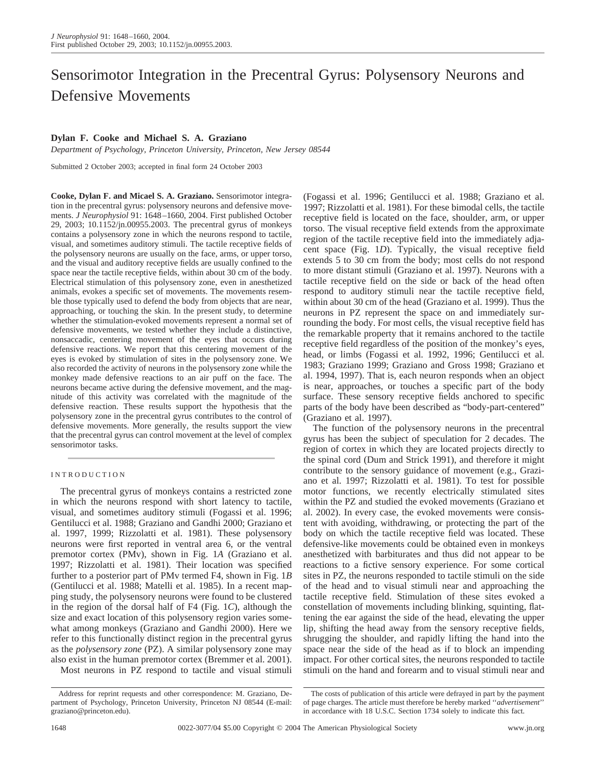# Sensorimotor Integration in the Precentral Gyrus: Polysensory Neurons and Defensive Movements

# **Dylan F. Cooke and Michael S. A. Graziano**

*Department of Psychology, Princeton University, Princeton, New Jersey 08544*

Submitted 2 October 2003; accepted in final form 24 October 2003

**Cooke, Dylan F. and Micael S. A. Graziano.** Sensorimotor integration in the precentral gyrus: polysensory neurons and defensive movements. *J Neurophysiol* 91: 1648–1660, 2004. First published October 29, 2003; 10.1152/jn.00955.2003. The precentral gyrus of monkeys contains a polysensory zone in which the neurons respond to tactile, visual, and sometimes auditory stimuli. The tactile receptive fields of the polysensory neurons are usually on the face, arms, or upper torso, and the visual and auditory receptive fields are usually confined to the space near the tactile receptive fields, within about 30 cm of the body. Electrical stimulation of this polysensory zone, even in anesthetized animals, evokes a specific set of movements. The movements resemble those typically used to defend the body from objects that are near, approaching, or touching the skin. In the present study, to determine whether the stimulation-evoked movements represent a normal set of defensive movements, we tested whether they include a distinctive, nonsaccadic, centering movement of the eyes that occurs during defensive reactions. We report that this centering movement of the eyes is evoked by stimulation of sites in the polysensory zone. We also recorded the activity of neurons in the polysensory zone while the monkey made defensive reactions to an air puff on the face. The neurons became active during the defensive movement, and the magnitude of this activity was correlated with the magnitude of the defensive reaction. These results support the hypothesis that the polysensory zone in the precentral gyrus contributes to the control of defensive movements. More generally, the results support the view that the precentral gyrus can control movement at the level of complex sensorimotor tasks.

#### INTRODUCTION

The precentral gyrus of monkeys contains a restricted zone in which the neurons respond with short latency to tactile, visual, and sometimes auditory stimuli (Fogassi et al. 1996; Gentilucci et al. 1988; Graziano and Gandhi 2000; Graziano et al. 1997, 1999; Rizzolatti et al. 1981). These polysensory neurons were first reported in ventral area 6, or the ventral premotor cortex (PMv), shown in Fig. 1*A* (Graziano et al. 1997; Rizzolatti et al. 1981). Their location was specified further to a posterior part of PMv termed F4, shown in Fig. 1*B* (Gentilucci et al. 1988; Matelli et al. 1985). In a recent mapping study, the polysensory neurons were found to be clustered in the region of the dorsal half of F4 (Fig. 1*C*), although the size and exact location of this polysensory region varies somewhat among monkeys (Graziano and Gandhi 2000). Here we refer to this functionally distinct region in the precentral gyrus as the *polysensory zone* (PZ). A similar polysensory zone may also exist in the human premotor cortex (Bremmer et al. 2001). Most neurons in PZ respond to tactile and visual stimuli

Address for reprint requests and other correspondence: M. Graziano, Department of Psychology, Princeton University, Princeton NJ 08544 (E-mail: graziano@princeton.edu).

(Fogassi et al. 1996; Gentilucci et al. 1988; Graziano et al. 1997; Rizzolatti et al. 1981). For these bimodal cells, the tactile receptive field is located on the face, shoulder, arm, or upper torso. The visual receptive field extends from the approximate region of the tactile receptive field into the immediately adjacent space (Fig. 1*D*). Typically, the visual receptive field extends 5 to 30 cm from the body; most cells do not respond to more distant stimuli (Graziano et al. 1997). Neurons with a tactile receptive field on the side or back of the head often respond to auditory stimuli near the tactile receptive field, within about 30 cm of the head (Graziano et al. 1999). Thus the neurons in PZ represent the space on and immediately surrounding the body. For most cells, the visual receptive field has the remarkable property that it remains anchored to the tactile receptive field regardless of the position of the monkey's eyes, head, or limbs (Fogassi et al. 1992, 1996; Gentilucci et al. 1983; Graziano 1999; Graziano and Gross 1998; Graziano et al. 1994, 1997). That is, each neuron responds when an object is near, approaches, or touches a specific part of the body surface. These sensory receptive fields anchored to specific parts of the body have been described as "body-part-centered" (Graziano et al. 1997).

The function of the polysensory neurons in the precentral gyrus has been the subject of speculation for 2 decades. The region of cortex in which they are located projects directly to the spinal cord (Dum and Strick 1991), and therefore it might contribute to the sensory guidance of movement (e.g., Graziano et al. 1997; Rizzolatti et al. 1981). To test for possible motor functions, we recently electrically stimulated sites within the PZ and studied the evoked movements (Graziano et al. 2002). In every case, the evoked movements were consistent with avoiding, withdrawing, or protecting the part of the body on which the tactile receptive field was located. These defensive-like movements could be obtained even in monkeys anesthetized with barbiturates and thus did not appear to be reactions to a fictive sensory experience. For some cortical sites in PZ, the neurons responded to tactile stimuli on the side of the head and to visual stimuli near and approaching the tactile receptive field. Stimulation of these sites evoked a constellation of movements including blinking, squinting, flattening the ear against the side of the head, elevating the upper lip, shifting the head away from the sensory receptive fields, shrugging the shoulder, and rapidly lifting the hand into the space near the side of the head as if to block an impending impact. For other cortical sites, the neurons responded to tactile stimuli on the hand and forearm and to visual stimuli near and

The costs of publication of this article were defrayed in part by the payment of page charges. The article must therefore be hereby marked ''*advertisement*'' in accordance with 18 U.S.C. Section 1734 solely to indicate this fact.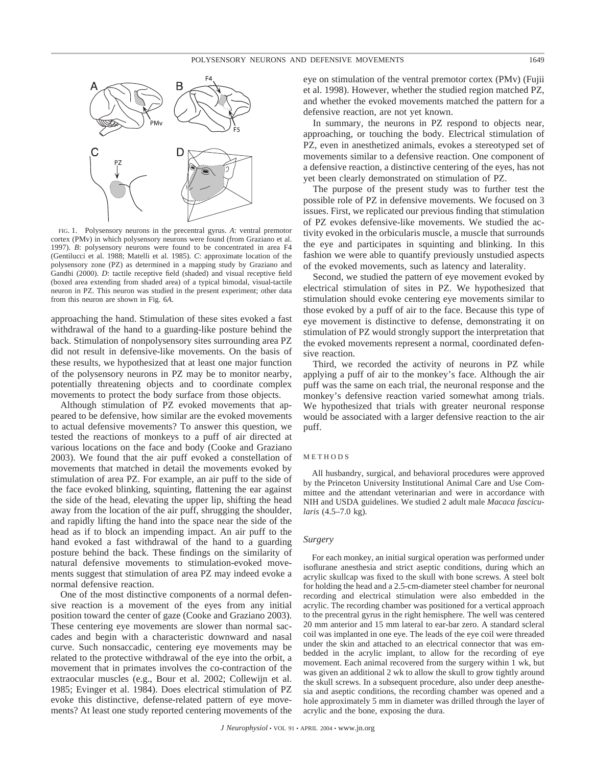

FIG. 1. Polysensory neurons in the precentral gyrus. *A*: ventral premotor cortex (PMv) in which polysensory neurons were found (from Graziano et al. 1997). *B*: polysensory neurons were found to be concentrated in area F4 (Gentilucci et al. 1988; Matelli et al. 1985). *C*: approximate location of the polysensory zone (PZ) as determined in a mapping study by Graziano and Gandhi (2000). *D*: tactile receptive field (shaded) and visual receptive field (boxed area extending from shaded area) of a typical bimodal, visual-tactile neuron in PZ. This neuron was studied in the present experiment; other data from this neuron are shown in Fig. 6*A*.

approaching the hand. Stimulation of these sites evoked a fast withdrawal of the hand to a guarding-like posture behind the back. Stimulation of nonpolysensory sites surrounding area PZ did not result in defensive-like movements. On the basis of these results, we hypothesized that at least one major function of the polysensory neurons in PZ may be to monitor nearby, potentially threatening objects and to coordinate complex movements to protect the body surface from those objects.

Although stimulation of PZ evoked movements that appeared to be defensive, how similar are the evoked movements to actual defensive movements? To answer this question, we tested the reactions of monkeys to a puff of air directed at various locations on the face and body (Cooke and Graziano 2003). We found that the air puff evoked a constellation of movements that matched in detail the movements evoked by stimulation of area PZ. For example, an air puff to the side of the face evoked blinking, squinting, flattening the ear against the side of the head, elevating the upper lip, shifting the head away from the location of the air puff, shrugging the shoulder, and rapidly lifting the hand into the space near the side of the head as if to block an impending impact. An air puff to the hand evoked a fast withdrawal of the hand to a guarding posture behind the back. These findings on the similarity of natural defensive movements to stimulation-evoked movements suggest that stimulation of area PZ may indeed evoke a normal defensive reaction.

One of the most distinctive components of a normal defensive reaction is a movement of the eyes from any initial position toward the center of gaze (Cooke and Graziano 2003). These centering eye movements are slower than normal saccades and begin with a characteristic downward and nasal curve. Such nonsaccadic, centering eye movements may be related to the protective withdrawal of the eye into the orbit, a movement that in primates involves the co-contraction of the extraocular muscles (e.g., Bour et al. 2002; Collewijn et al. 1985; Evinger et al. 1984). Does electrical stimulation of PZ evoke this distinctive, defense-related pattern of eye movements? At least one study reported centering movements of the eye on stimulation of the ventral premotor cortex (PMv) (Fujii et al. 1998). However, whether the studied region matched PZ, and whether the evoked movements matched the pattern for a defensive reaction, are not yet known.

In summary, the neurons in PZ respond to objects near, approaching, or touching the body. Electrical stimulation of PZ, even in anesthetized animals, evokes a stereotyped set of movements similar to a defensive reaction. One component of a defensive reaction, a distinctive centering of the eyes, has not yet been clearly demonstrated on stimulation of PZ.

The purpose of the present study was to further test the possible role of PZ in defensive movements. We focused on 3 issues. First, we replicated our previous finding that stimulation of PZ evokes defensive-like movements. We studied the activity evoked in the orbicularis muscle, a muscle that surrounds the eye and participates in squinting and blinking. In this fashion we were able to quantify previously unstudied aspects of the evoked movements, such as latency and laterality.

Second, we studied the pattern of eye movement evoked by electrical stimulation of sites in PZ. We hypothesized that stimulation should evoke centering eye movements similar to those evoked by a puff of air to the face. Because this type of eye movement is distinctive to defense, demonstrating it on stimulation of PZ would strongly support the interpretation that the evoked movements represent a normal, coordinated defensive reaction.

Third, we recorded the activity of neurons in PZ while applying a puff of air to the monkey's face. Although the air puff was the same on each trial, the neuronal response and the monkey's defensive reaction varied somewhat among trials. We hypothesized that trials with greater neuronal response would be associated with a larger defensive reaction to the air puff.

# METHODS

All husbandry, surgical, and behavioral procedures were approved by the Princeton University Institutional Animal Care and Use Committee and the attendant veterinarian and were in accordance with NIH and USDA guidelines. We studied 2 adult male *Macaca fascicularis* (4.5–7.0 kg).

#### *Surgery*

For each monkey, an initial surgical operation was performed under isoflurane anesthesia and strict aseptic conditions, during which an acrylic skullcap was fixed to the skull with bone screws. A steel bolt for holding the head and a 2.5-cm-diameter steel chamber for neuronal recording and electrical stimulation were also embedded in the acrylic. The recording chamber was positioned for a vertical approach to the precentral gyrus in the right hemisphere. The well was centered 20 mm anterior and 15 mm lateral to ear-bar zero. A standard scleral coil was implanted in one eye. The leads of the eye coil were threaded under the skin and attached to an electrical connector that was embedded in the acrylic implant, to allow for the recording of eye movement. Each animal recovered from the surgery within 1 wk, but was given an additional 2 wk to allow the skull to grow tightly around the skull screws. In a subsequent procedure, also under deep anesthesia and aseptic conditions, the recording chamber was opened and a hole approximately 5 mm in diameter was drilled through the layer of acrylic and the bone, exposing the dura.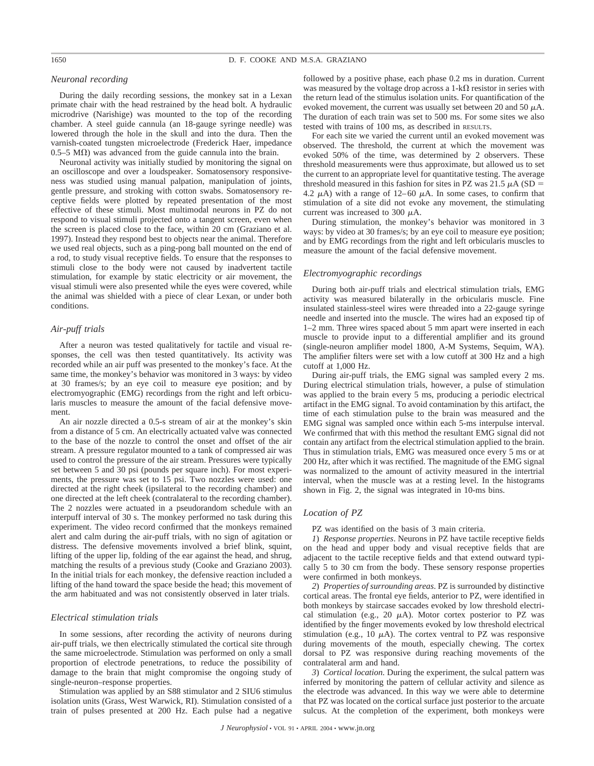# *Neuronal recording*

During the daily recording sessions, the monkey sat in a Lexan primate chair with the head restrained by the head bolt. A hydraulic microdrive (Narishige) was mounted to the top of the recording chamber. A steel guide cannula (an 18-gauge syringe needle) was lowered through the hole in the skull and into the dura. Then the varnish-coated tungsten microelectrode (Frederick Haer, impedance 0.5–5 M $\Omega$ ) was advanced from the guide cannula into the brain.

Neuronal activity was initially studied by monitoring the signal on an oscilloscope and over a loudspeaker. Somatosensory responsiveness was studied using manual palpation, manipulation of joints, gentle pressure, and stroking with cotton swabs. Somatosensory receptive fields were plotted by repeated presentation of the most effective of these stimuli. Most multimodal neurons in PZ do not respond to visual stimuli projected onto a tangent screen, even when the screen is placed close to the face, within 20 cm (Graziano et al. 1997). Instead they respond best to objects near the animal. Therefore we used real objects, such as a ping-pong ball mounted on the end of a rod, to study visual receptive fields. To ensure that the responses to stimuli close to the body were not caused by inadvertent tactile stimulation, for example by static electricity or air movement, the visual stimuli were also presented while the eyes were covered, while the animal was shielded with a piece of clear Lexan, or under both conditions.

# *Air-puff trials*

After a neuron was tested qualitatively for tactile and visual responses, the cell was then tested quantitatively. Its activity was recorded while an air puff was presented to the monkey's face. At the same time, the monkey's behavior was monitored in 3 ways: by video at 30 frames/s; by an eye coil to measure eye position; and by electromyographic (EMG) recordings from the right and left orbicularis muscles to measure the amount of the facial defensive movement.

An air nozzle directed a 0.5-s stream of air at the monkey's skin from a distance of 5 cm. An electrically actuated valve was connected to the base of the nozzle to control the onset and offset of the air stream. A pressure regulator mounted to a tank of compressed air was used to control the pressure of the air stream. Pressures were typically set between 5 and 30 psi (pounds per square inch). For most experiments, the pressure was set to 15 psi. Two nozzles were used: one directed at the right cheek (ipsilateral to the recording chamber) and one directed at the left cheek (contralateral to the recording chamber). The 2 nozzles were actuated in a pseudorandom schedule with an interpuff interval of 30 s. The monkey performed no task during this experiment. The video record confirmed that the monkeys remained alert and calm during the air-puff trials, with no sign of agitation or distress. The defensive movements involved a brief blink, squint, lifting of the upper lip, folding of the ear against the head, and shrug, matching the results of a previous study (Cooke and Graziano 2003). In the initial trials for each monkey, the defensive reaction included a lifting of the hand toward the space beside the head; this movement of the arm habituated and was not consistently observed in later trials.

# *Electrical stimulation trials*

In some sessions, after recording the activity of neurons during air-puff trials, we then electrically stimulated the cortical site through the same microelectrode. Stimulation was performed on only a small proportion of electrode penetrations, to reduce the possibility of damage to the brain that might compromise the ongoing study of single-neuron–response properties.

Stimulation was applied by an S88 stimulator and 2 SIU6 stimulus isolation units (Grass, West Warwick, RI). Stimulation consisted of a train of pulses presented at 200 Hz. Each pulse had a negative followed by a positive phase, each phase 0.2 ms in duration. Current was measured by the voltage drop across a 1-k $\Omega$  resistor in series with the return lead of the stimulus isolation units. For quantification of the evoked movement, the current was usually set between 20 and 50  $\mu$ A. The duration of each train was set to 500 ms. For some sites we also tested with trains of 100 ms, as described in RESULTS.

For each site we varied the current until an evoked movement was observed. The threshold, the current at which the movement was evoked 50% of the time, was determined by 2 observers. These threshold measurements were thus approximate, but allowed us to set the current to an appropriate level for quantitative testing. The average threshold measured in this fashion for sites in PZ was 21.5  $\mu$ A (SD = 4.2  $\mu$ A) with a range of 12–60  $\mu$ A. In some cases, to confirm that stimulation of a site did not evoke any movement, the stimulating current was increased to 300  $\mu$ A.

During stimulation, the monkey's behavior was monitored in 3 ways: by video at 30 frames/s; by an eye coil to measure eye position; and by EMG recordings from the right and left orbicularis muscles to measure the amount of the facial defensive movement.

### *Electromyographic recordings*

During both air-puff trials and electrical stimulation trials, EMG activity was measured bilaterally in the orbicularis muscle. Fine insulated stainless-steel wires were threaded into a 22-gauge syringe needle and inserted into the muscle. The wires had an exposed tip of 1–2 mm. Three wires spaced about 5 mm apart were inserted in each muscle to provide input to a differential amplifier and its ground (single-neuron amplifier model 1800, A-M Systems, Sequim, WA). The amplifier filters were set with a low cutoff at 300 Hz and a high cutoff at 1,000 Hz.

During air-puff trials, the EMG signal was sampled every 2 ms. During electrical stimulation trials, however, a pulse of stimulation was applied to the brain every 5 ms, producing a periodic electrical artifact in the EMG signal. To avoid contamination by this artifact, the time of each stimulation pulse to the brain was measured and the EMG signal was sampled once within each 5-ms interpulse interval. We confirmed that with this method the resultant EMG signal did not contain any artifact from the electrical stimulation applied to the brain. Thus in stimulation trials, EMG was measured once every 5 ms or at 200 Hz, after which it was rectified. The magnitude of the EMG signal was normalized to the amount of activity measured in the intertrial interval, when the muscle was at a resting level. In the histograms shown in Fig. 2, the signal was integrated in 10-ms bins.

## *Location of PZ*

PZ was identified on the basis of 3 main criteria.

*1*) *Response properties*. Neurons in PZ have tactile receptive fields on the head and upper body and visual receptive fields that are adjacent to the tactile receptive fields and that extend outward typically 5 to 30 cm from the body. These sensory response properties were confirmed in both monkeys.

*2*) *Properties of surrounding areas*. PZ is surrounded by distinctive cortical areas. The frontal eye fields, anterior to PZ, were identified in both monkeys by staircase saccades evoked by low threshold electrical stimulation (e.g., 20  $\mu$ A). Motor cortex posterior to PZ was identified by the finger movements evoked by low threshold electrical stimulation (e.g., 10  $\mu$ A). The cortex ventral to PZ was responsive during movements of the mouth, especially chewing. The cortex dorsal to PZ was responsive during reaching movements of the contralateral arm and hand.

*3*) *Cortical location*. During the experiment, the sulcal pattern was inferred by monitoring the pattern of cellular activity and silence as the electrode was advanced. In this way we were able to determine that PZ was located on the cortical surface just posterior to the arcuate sulcus. At the completion of the experiment, both monkeys were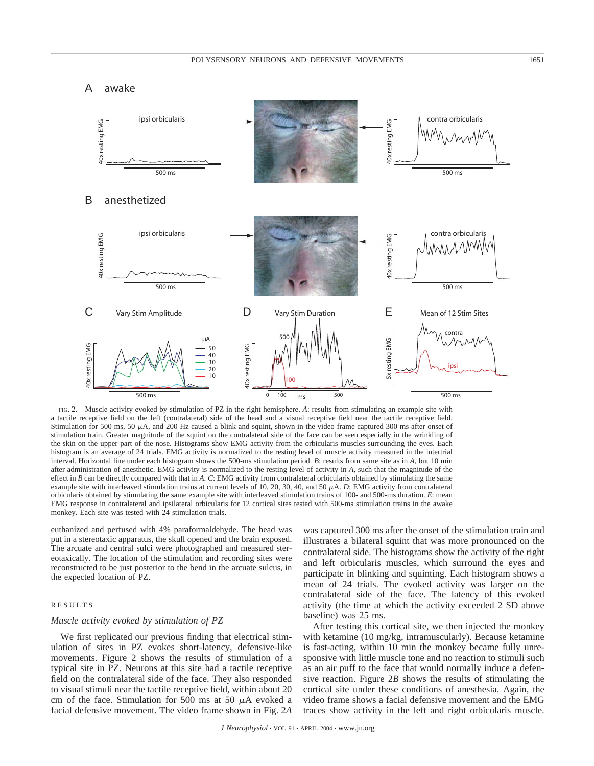# <sup>A</sup> awake



FIG. 2. Muscle activity evoked by stimulation of PZ in the right hemisphere. *A*: results from stimulating an example site with a tactile receptive field on the left (contralateral) side of the head and a visual receptive field near the tactile receptive field. Stimulation for 500 ms, 50  $\mu$ A, and 200 Hz caused a blink and squint, shown in the video frame captured 300 ms after onset of stimulation train. Greater magnitude of the squint on the contralateral side of the face can be seen especially in the wrinkling of the skin on the upper part of the nose. Histograms show EMG activity from the orbicularis muscles surrounding the eyes. Each histogram is an average of 24 trials. EMG activity is normalized to the resting level of muscle activity measured in the intertrial interval. Horizontal line under each histogram shows the 500-ms stimulation period. *B*: results from same site as in *A*, but 10 min after administration of anesthetic. EMG activity is normalized to the resting level of activity in *A*, such that the magnitude of the effect in *B* can be directly compared with that in *A*. *C*: EMG activity from contralateral orbicularis obtained by stimulating the same example site with interleaved stimulation trains at current levels of 10, 20, 30, 40, and 50  $\mu$ A. *D*: EMG activity from contralateral orbicularis obtained by stimulating the same example site with interleaved stimulation trains of 100- and 500-ms duration. *E*: mean EMG response in contralateral and ipsilateral orbicularis for 12 cortical sites tested with 500-ms stimulation trains in the awake monkey. Each site was tested with 24 stimulation trials.

euthanized and perfused with 4% paraformaldehyde. The head was put in a stereotaxic apparatus, the skull opened and the brain exposed. The arcuate and central sulci were photographed and measured stereotaxically. The location of the stimulation and recording sites were reconstructed to be just posterior to the bend in the arcuate sulcus, in the expected location of PZ.

# RESULTS

# *Muscle activity evoked by stimulation of PZ*

We first replicated our previous finding that electrical stimulation of sites in PZ evokes short-latency, defensive-like movements. Figure 2 shows the results of stimulation of a typical site in PZ. Neurons at this site had a tactile receptive field on the contralateral side of the face. They also responded to visual stimuli near the tactile receptive field, within about 20 cm of the face. Stimulation for 500 ms at 50  $\mu$ A evoked a facial defensive movement. The video frame shown in Fig. 2*A* was captured 300 ms after the onset of the stimulation train and illustrates a bilateral squint that was more pronounced on the contralateral side. The histograms show the activity of the right and left orbicularis muscles, which surround the eyes and participate in blinking and squinting. Each histogram shows a mean of 24 trials. The evoked activity was larger on the contralateral side of the face. The latency of this evoked activity (the time at which the activity exceeded 2 SD above baseline) was 25 ms.

After testing this cortical site, we then injected the monkey with ketamine (10 mg/kg, intramuscularly). Because ketamine is fast-acting, within 10 min the monkey became fully unresponsive with little muscle tone and no reaction to stimuli such as an air puff to the face that would normally induce a defensive reaction. Figure 2*B* shows the results of stimulating the cortical site under these conditions of anesthesia. Again, the video frame shows a facial defensive movement and the EMG traces show activity in the left and right orbicularis muscle.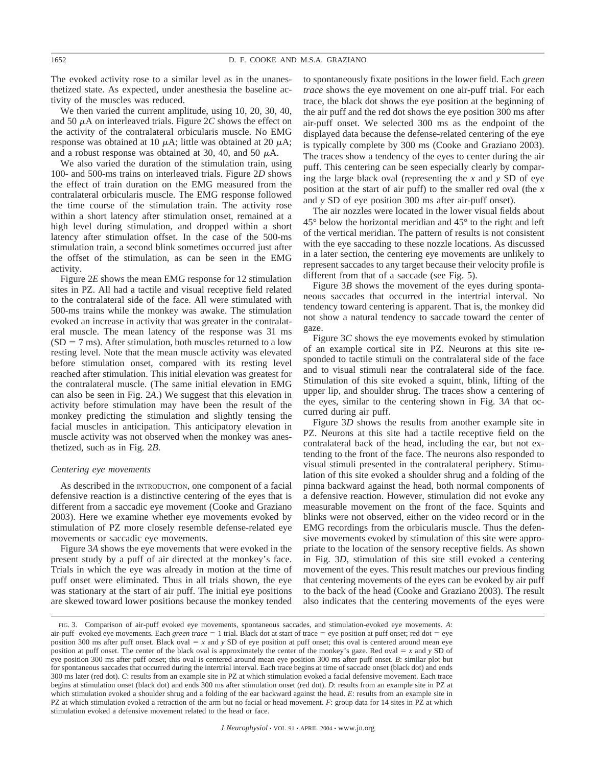The evoked activity rose to a similar level as in the unanesthetized state. As expected, under anesthesia the baseline activity of the muscles was reduced.

We then varied the current amplitude, using 10, 20, 30, 40, and 50  $\mu$ A on interleaved trials. Figure 2C shows the effect on the activity of the contralateral orbicularis muscle. No EMG response was obtained at 10  $\mu$ A; little was obtained at 20  $\mu$ A; and a robust response was obtained at 30, 40, and 50  $\mu$ A.

We also varied the duration of the stimulation train, using 100- and 500-ms trains on interleaved trials. Figure 2*D* shows the effect of train duration on the EMG measured from the contralateral orbicularis muscle. The EMG response followed the time course of the stimulation train. The activity rose within a short latency after stimulation onset, remained at a high level during stimulation, and dropped within a short latency after stimulation offset. In the case of the 500-ms stimulation train, a second blink sometimes occurred just after the offset of the stimulation, as can be seen in the EMG activity.

Figure 2*E* shows the mean EMG response for 12 stimulation sites in PZ. All had a tactile and visual receptive field related to the contralateral side of the face. All were stimulated with 500-ms trains while the monkey was awake. The stimulation evoked an increase in activity that was greater in the contralateral muscle. The mean latency of the response was 31 ms  $(SD = 7 \text{ ms})$ . After stimulation, both muscles returned to a low resting level. Note that the mean muscle activity was elevated before stimulation onset, compared with its resting level reached after stimulation. This initial elevation was greatest for the contralateral muscle. (The same initial elevation in EMG can also be seen in Fig. 2*A*.) We suggest that this elevation in activity before stimulation may have been the result of the monkey predicting the stimulation and slightly tensing the facial muscles in anticipation. This anticipatory elevation in muscle activity was not observed when the monkey was anesthetized, such as in Fig. 2*B*.

#### *Centering eye movements*

As described in the INTRODUCTION, one component of a facial defensive reaction is a distinctive centering of the eyes that is different from a saccadic eye movement (Cooke and Graziano 2003). Here we examine whether eye movements evoked by stimulation of PZ more closely resemble defense-related eye movements or saccadic eye movements.

Figure 3*A* shows the eye movements that were evoked in the present study by a puff of air directed at the monkey's face. Trials in which the eye was already in motion at the time of puff onset were eliminated. Thus in all trials shown, the eye was stationary at the start of air puff. The initial eye positions are skewed toward lower positions because the monkey tended to spontaneously fixate positions in the lower field. Each *green trace* shows the eye movement on one air-puff trial. For each trace, the black dot shows the eye position at the beginning of the air puff and the red dot shows the eye position 300 ms after air-puff onset. We selected 300 ms as the endpoint of the displayed data because the defense-related centering of the eye is typically complete by 300 ms (Cooke and Graziano 2003). The traces show a tendency of the eyes to center during the air puff. This centering can be seen especially clearly by comparing the large black oval (representing the *x* and *y* SD of eye position at the start of air puff) to the smaller red oval (the *x* and *y* SD of eye position 300 ms after air-puff onset).

The air nozzles were located in the lower visual fields about 45° below the horizontal meridian and 45° to the right and left of the vertical meridian. The pattern of results is not consistent with the eye saccading to these nozzle locations. As discussed in a later section, the centering eye movements are unlikely to represent saccades to any target because their velocity profile is different from that of a saccade (see Fig. 5).

Figure 3*B* shows the movement of the eyes during spontaneous saccades that occurred in the intertrial interval. No tendency toward centering is apparent. That is, the monkey did not show a natural tendency to saccade toward the center of gaze.

Figure 3*C* shows the eye movements evoked by stimulation of an example cortical site in PZ. Neurons at this site responded to tactile stimuli on the contralateral side of the face and to visual stimuli near the contralateral side of the face. Stimulation of this site evoked a squint, blink, lifting of the upper lip, and shoulder shrug. The traces show a centering of the eyes, similar to the centering shown in Fig. 3*A* that occurred during air puff.

Figure 3*D* shows the results from another example site in PZ. Neurons at this site had a tactile receptive field on the contralateral back of the head, including the ear, but not extending to the front of the face. The neurons also responded to visual stimuli presented in the contralateral periphery. Stimulation of this site evoked a shoulder shrug and a folding of the pinna backward against the head, both normal components of a defensive reaction. However, stimulation did not evoke any measurable movement on the front of the face. Squints and blinks were not observed, either on the video record or in the EMG recordings from the orbicularis muscle. Thus the defensive movements evoked by stimulation of this site were appropriate to the location of the sensory receptive fields. As shown in Fig. 3*D*, stimulation of this site still evoked a centering movement of the eyes. This result matches our previous finding that centering movements of the eyes can be evoked by air puff to the back of the head (Cooke and Graziano 2003). The result also indicates that the centering movements of the eyes were

FIG. 3. Comparison of air-puff evoked eye movements, spontaneous saccades, and stimulation-evoked eye movements. *A*: air-puff–evoked eye movements. Each *green trace* = 1 trial. Black dot at start of trace = eye position at puff onset; red dot = eye position 300 ms after puff onset. Black oval  $= x$  and  $y$  SD of eye position at puff onset; this oval is centered around mean eye position at puff onset. The center of the black oval is approximately the center of the monkey's gaze. Red oval  $= x$  and  $y$  SD of eye position 300 ms after puff onset; this oval is centered around mean eye position 300 ms after puff onset. *B*: similar plot but for spontaneous saccades that occurred during the intertrial interval. Each trace begins at time of saccade onset (black dot) and ends 300 ms later (red dot). *C*: results from an example site in PZ at which stimulation evoked a facial defensive movement. Each trace begins at stimulation onset (black dot) and ends 300 ms after stimulation onset (red dot). *D*: results from an example site in PZ at which stimulation evoked a shoulder shrug and a folding of the ear backward against the head. *E*: results from an example site in PZ at which stimulation evoked a retraction of the arm but no facial or head movement. *F*: group data for 14 sites in PZ at which stimulation evoked a defensive movement related to the head or face.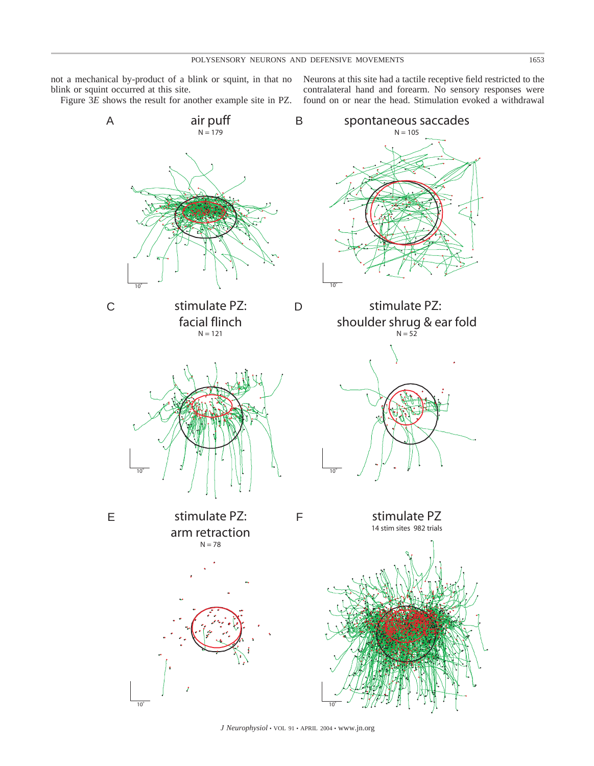not a mechanical by-product of a blink or squint, in that no Neurons at this site had a tactile receptive field restricted to the blink or squint occurred at this site.

Figure  $3E$  shows the result for another example site in PZ.

contralateral hand and forearm. No sensory responses were found on or near the head. Stimulation evoked a withdrawal



*J Neurophysiol* • VOL 91 • APRIL 2004 • www.jn.org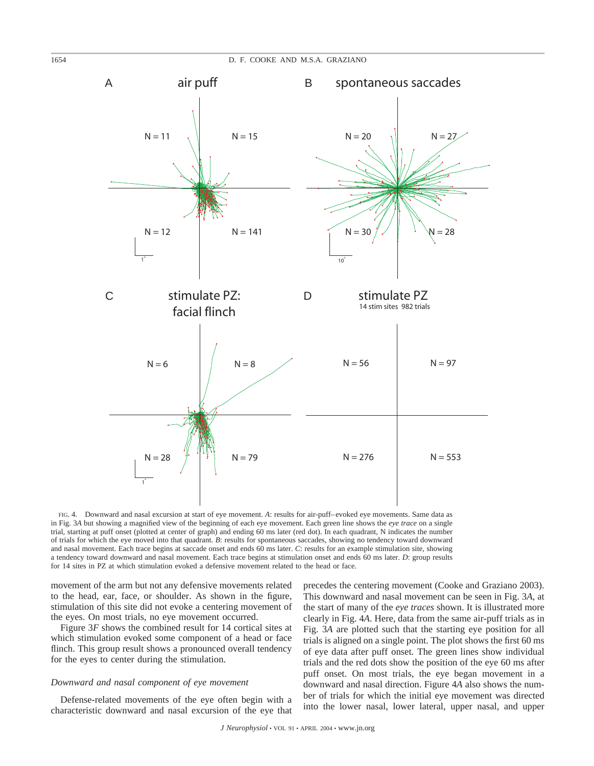

FIG. 4. Downward and nasal excursion at start of eye movement. *A*: results for air-puff–evoked eye movements. Same data as in Fig. 3*A* but showing a magnified view of the beginning of each eye movement. Each green line shows the *eye trace* on a single trial, starting at puff onset (plotted at center of graph) and ending 60 ms later (red dot). In each quadrant, N indicates the number of trials for which the eye moved into that quadrant. *B*: results for spontaneous saccades, showing no tendency toward downward and nasal movement. Each trace begins at saccade onset and ends 60 ms later. *C*: results for an example stimulation site, showing a tendency toward downward and nasal movement. Each trace begins at stimulation onset and ends 60 ms later. *D*: group results for 14 sites in PZ at which stimulation evoked a defensive movement related to the head or face.

movement of the arm but not any defensive movements related to the head, ear, face, or shoulder. As shown in the figure, stimulation of this site did not evoke a centering movement of the eyes. On most trials, no eye movement occurred.

Figure 3*F* shows the combined result for 14 cortical sites at which stimulation evoked some component of a head or face flinch. This group result shows a pronounced overall tendency for the eyes to center during the stimulation.

# *Downward and nasal component of eye movement*

Defense-related movements of the eye often begin with a characteristic downward and nasal excursion of the eye that precedes the centering movement (Cooke and Graziano 2003). This downward and nasal movement can be seen in Fig. 3*A*, at the start of many of the *eye traces* shown. It is illustrated more clearly in Fig. 4*A*. Here, data from the same air-puff trials as in Fig. 3*A* are plotted such that the starting eye position for all trials is aligned on a single point. The plot shows the first 60 ms of eye data after puff onset. The green lines show individual trials and the red dots show the position of the eye 60 ms after puff onset. On most trials, the eye began movement in a downward and nasal direction. Figure 4*A* also shows the number of trials for which the initial eye movement was directed into the lower nasal, lower lateral, upper nasal, and upper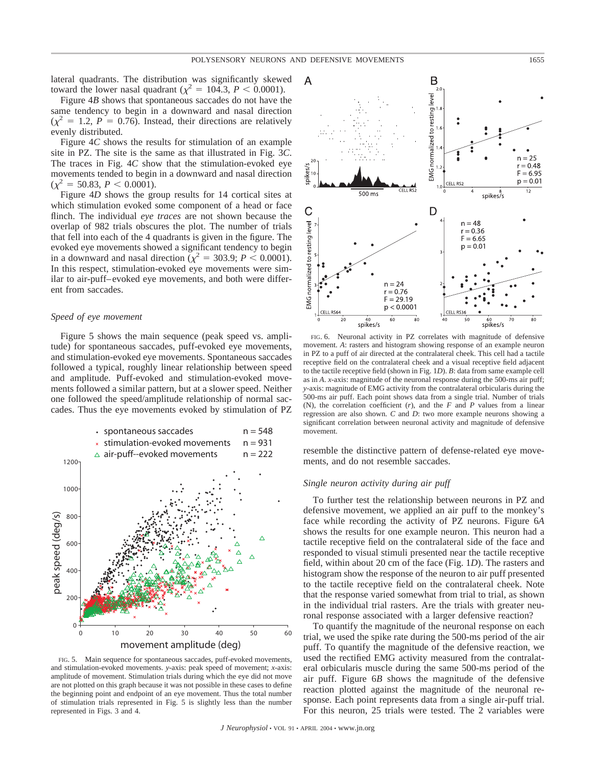lateral quadrants. The distribution was significantly skewed toward the lower nasal quadrant ( $\chi^2 = 104.3$ ,  $P < 0.0001$ ).

Figure 4*B* shows that spontaneous saccades do not have the same tendency to begin in a downward and nasal direction  $(\chi^2 = 1.2, P = 0.76)$ . Instead, their directions are relatively evenly distributed.

Figure 4*C* shows the results for stimulation of an example site in PZ. The site is the same as that illustrated in Fig. 3*C*. The traces in Fig. 4*C* show that the stimulation-evoked eye movements tended to begin in a downward and nasal direction  $(\chi^2 = 50.83, P < 0.0001).$ 

Figure 4*D* shows the group results for 14 cortical sites at which stimulation evoked some component of a head or face flinch. The individual *eye traces* are not shown because the overlap of 982 trials obscures the plot. The number of trials that fell into each of the 4 quadrants is given in the figure. The evoked eye movements showed a significant tendency to begin in a downward and nasal direction  $\tilde{\chi}^2 = 303.9; P < 0.0001$ ). In this respect, stimulation-evoked eye movements were similar to air-puff–evoked eye movements, and both were different from saccades.

#### *Speed of eye movement*

Figure 5 shows the main sequence (peak speed vs. amplitude) for spontaneous saccades, puff-evoked eye movements, and stimulation-evoked eye movements. Spontaneous saccades followed a typical, roughly linear relationship between speed and amplitude. Puff-evoked and stimulation-evoked movements followed a similar pattern, but at a slower speed. Neither one followed the speed/amplitude relationship of normal saccades. Thus the eye movements evoked by stimulation of PZ



FIG. 5. Main sequence for spontaneous saccades, puff-evoked movements, and stimulation-evoked movements. *y*-axis: peak speed of movement; *x*-axis: amplitude of movement. Stimulation trials during which the eye did not move are not plotted on this graph because it was not possible in these cases to define the beginning point and endpoint of an eye movement. Thus the total number of stimulation trials represented in Fig. 5 is slightly less than the number represented in Figs. 3 and 4.



FIG. 6. Neuronal activity in PZ correlates with magnitude of defensive movement. *A*: rasters and histogram showing response of an example neuron in PZ to a puff of air directed at the contralateral cheek. This cell had a tactile receptive field on the contralateral cheek and a visual receptive field adjacent to the tactile receptive field (shown in Fig. 1*D*). *B*: data from same example cell as in *A*. *x*-axis: magnitude of the neuronal response during the 500-ms air puff; *y*-axis: magnitude of EMG activity from the contralateral orbicularis during the 500-ms air puff. Each point shows data from a single trial. Number of trials (N), the correlation coefficient (*r*), and the *F* and *P* values from a linear regression are also shown. *C* and *D*: two more example neurons showing a significant correlation between neuronal activity and magnitude of defensive movement.

resemble the distinctive pattern of defense-related eye movements, and do not resemble saccades.

# *Single neuron activity during air puff*

To further test the relationship between neurons in PZ and defensive movement, we applied an air puff to the monkey's face while recording the activity of PZ neurons. Figure 6*A* shows the results for one example neuron. This neuron had a tactile receptive field on the contralateral side of the face and responded to visual stimuli presented near the tactile receptive field, within about 20 cm of the face (Fig. 1*D*). The rasters and histogram show the response of the neuron to air puff presented to the tactile receptive field on the contralateral cheek. Note that the response varied somewhat from trial to trial, as shown in the individual trial rasters. Are the trials with greater neuronal response associated with a larger defensive reaction?

To quantify the magnitude of the neuronal response on each trial, we used the spike rate during the 500-ms period of the air puff. To quantify the magnitude of the defensive reaction, we used the rectified EMG activity measured from the contralateral orbicularis muscle during the same 500-ms period of the air puff. Figure 6*B* shows the magnitude of the defensive reaction plotted against the magnitude of the neuronal response. Each point represents data from a single air-puff trial. For this neuron, 25 trials were tested. The 2 variables were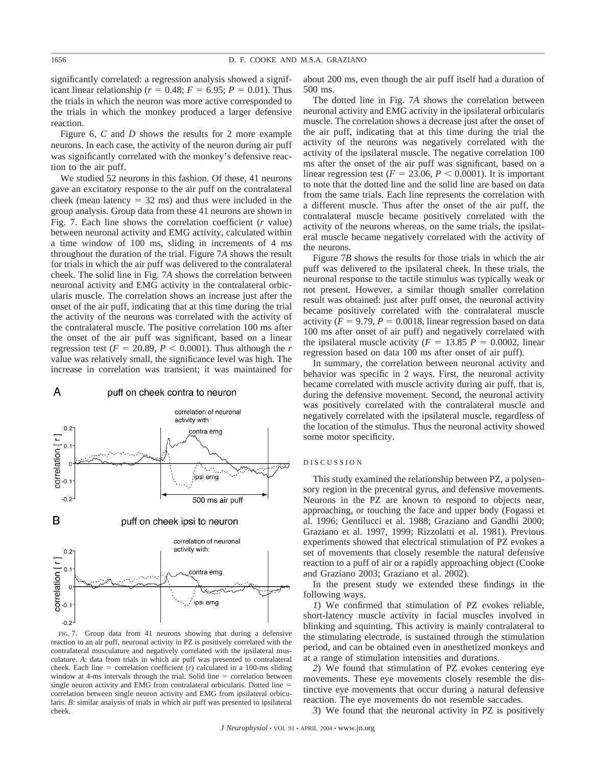significantly correlated: a regression analysis showed a significant linear relationship ( $r = 0.48; F = 6.95; P = 0.01$ ). Thus the trials in which the neuron was more active corresponded to the trials in which the monkey produced a larger defensive reaction.

Figure 6, *C* and *D* shows the results for 2 more example neurons. In each case, the activity of the neuron during air puff was significantly correlated with the monkey's defensive reaction to the air puff.

We studied 52 neurons in this fashion. Of these, 41 neurons gave an excitatory response to the air puff on the contralateral cheek (mean latency  $= 32$  ms) and thus were included in the group analysis. Group data from these 41 neurons are shown in Fig. 7. Each line shows the correlation coefficient (*r* value) between neuronal activity and EMG activity, calculated within a time window of 100 ms, sliding in increments of 4 ms throughout the duration of the trial. Figure 7*A* shows the result for trials in which the air puff was delivered to the contralateral cheek. The solid line in Fig. 7*A* shows the correlation between neuronal activity and EMG activity in the contralateral orbicularis muscle. The correlation shows an increase just after the onset of the air puff, indicating that at this time during the trial the activity of the neurons was correlated with the activity of the contralateral muscle. The positive correlation 100 ms after the onset of the air puff was significant, based on a linear regression test  $(F = 20.89, P \le 0.0001)$ . Thus although the *r* value was relatively small, the significance level was high. The increase in correlation was transient; it was maintained for



FIG. 7. Group data from 41 neurons showing that during a defensive reaction to an air puff, neuronal activity in PZ is positively correlated with the contralateral musculature and negatively correlated with the ipsilateral musculature. *A*: data from trials in which air puff was presented to contralateral cheek. Each line  $=$  correlation coefficient  $(r)$  calculated in a 100-ms sliding window at 4-ms intervals through the trial. Solid line  $=$  correlation between single neuron activity and EMG from contralateral orbicularis. Dotted line  $=$ correlation between single neuron activity and EMG from ipsilateral orbicularis. *B*: similar analysis of trials in which air puff was presented to ipsilateral cheek.

about 200 ms, even though the air puff itself had a duration of 500 ms.

The dotted line in Fig. 7*A* shows the correlation between neuronal activity and EMG activity in the ipsilateral orbicularis muscle. The correlation shows a decrease just after the onset of the air puff, indicating that at this time during the trial the activity of the neurons was negatively correlated with the activity of the ipsilateral muscle. The negative correlation 100 ms after the onset of the air puff was significant, based on a linear regression test  $(F = 23.06, P < 0.0001)$ . It is important to note that the dotted line and the solid line are based on data from the same trials. Each line represents the correlation with a different muscle. Thus after the onset of the air puff, the contralateral muscle became positively correlated with the activity of the neurons whereas, on the same trials, the ipsilateral muscle became negatively correlated with the activity of the neurons.

Figure 7*B* shows the results for those trials in which the air puff was delivered to the ipsilateral cheek. In these trials, the neuronal response to the tactile stimulus was typically weak or not present. However, a similar though smaller correlation result was obtained: just after puff onset, the neuronal activity became positively correlated with the contralateral muscle activity  $(F = 9.79, P = 0.0018$ , linear regression based on data 100 ms after onset of air puff) and negatively correlated with the ipsilateral muscle activity  $(F = 13.85 \, P = 0.0002)$ , linear regression based on data 100 ms after onset of air puff).

In summary, the correlation between neuronal activity and behavior was specific in 2 ways. First, the neuronal activity became correlated with muscle activity during air puff, that is, during the defensive movement. Second, the neuronal activity was positively correlated with the contralateral muscle and negatively correlated with the ipsilateral muscle, regardless of the location of the stimulus. Thus the neuronal activity showed some motor specificity.

#### DISCUSSION

This study examined the relationship between PZ, a polysensory region in the precentral gyrus, and defensive movements. Neurons in the PZ are known to respond to objects near, approaching, or touching the face and upper body (Fogassi et al. 1996; Gentilucci et al. 1988; Graziano and Gandhi 2000; Graziano et al. 1997, 1999; Rizzolatti et al. 1981). Previous experiments showed that electrical stimulation of PZ evokes a set of movements that closely resemble the natural defensive reaction to a puff of air or a rapidly approaching object (Cooke and Graziano 2003; Graziano et al. 2002).

In the present study we extended these findings in the following ways.

*1*) We confirmed that stimulation of PZ evokes reliable, short-latency muscle activity in facial muscles involved in blinking and squinting. This activity is mainly contralateral to the stimulating electrode, is sustained through the stimulation period, and can be obtained even in anesthetized monkeys and at a range of stimulation intensities and durations.

*2*) We found that stimulation of PZ evokes centering eye movements. These eye movements closely resemble the distinctive eye movements that occur during a natural defensive reaction. The eye movements do not resemble saccades.

*3*) We found that the neuronal activity in PZ is positively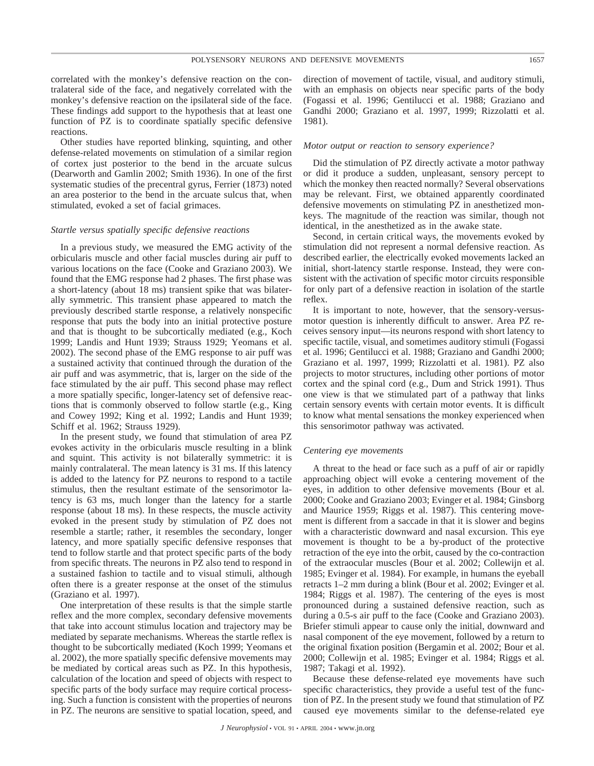correlated with the monkey's defensive reaction on the contralateral side of the face, and negatively correlated with the monkey's defensive reaction on the ipsilateral side of the face. These findings add support to the hypothesis that at least one function of PZ is to coordinate spatially specific defensive reactions.

Other studies have reported blinking, squinting, and other defense-related movements on stimulation of a similar region of cortex just posterior to the bend in the arcuate sulcus (Dearworth and Gamlin 2002; Smith 1936). In one of the first systematic studies of the precentral gyrus, Ferrier (1873) noted an area posterior to the bend in the arcuate sulcus that, when stimulated, evoked a set of facial grimaces.

#### *Startle versus spatially specific defensive reactions*

In a previous study, we measured the EMG activity of the orbicularis muscle and other facial muscles during air puff to various locations on the face (Cooke and Graziano 2003). We found that the EMG response had 2 phases. The first phase was a short-latency (about 18 ms) transient spike that was bilaterally symmetric. This transient phase appeared to match the previously described startle response, a relatively nonspecific response that puts the body into an initial protective posture and that is thought to be subcortically mediated (e.g., Koch 1999; Landis and Hunt 1939; Strauss 1929; Yeomans et al. 2002). The second phase of the EMG response to air puff was a sustained activity that continued through the duration of the air puff and was asymmetric, that is, larger on the side of the face stimulated by the air puff. This second phase may reflect a more spatially specific, longer-latency set of defensive reactions that is commonly observed to follow startle (e.g., King and Cowey 1992; King et al. 1992; Landis and Hunt 1939; Schiff et al. 1962; Strauss 1929).

In the present study, we found that stimulation of area PZ evokes activity in the orbicularis muscle resulting in a blink and squint. This activity is not bilaterally symmetric: it is mainly contralateral. The mean latency is 31 ms. If this latency is added to the latency for PZ neurons to respond to a tactile stimulus, then the resultant estimate of the sensorimotor latency is 63 ms, much longer than the latency for a startle response (about 18 ms). In these respects, the muscle activity evoked in the present study by stimulation of PZ does not resemble a startle; rather, it resembles the secondary, longer latency, and more spatially specific defensive responses that tend to follow startle and that protect specific parts of the body from specific threats. The neurons in PZ also tend to respond in a sustained fashion to tactile and to visual stimuli, although often there is a greater response at the onset of the stimulus (Graziano et al. 1997).

One interpretation of these results is that the simple startle reflex and the more complex, secondary defensive movements that take into account stimulus location and trajectory may be mediated by separate mechanisms. Whereas the startle reflex is thought to be subcortically mediated (Koch 1999; Yeomans et al. 2002), the more spatially specific defensive movements may be mediated by cortical areas such as PZ. In this hypothesis, calculation of the location and speed of objects with respect to specific parts of the body surface may require cortical processing. Such a function is consistent with the properties of neurons in PZ. The neurons are sensitive to spatial location, speed, and direction of movement of tactile, visual, and auditory stimuli, with an emphasis on objects near specific parts of the body (Fogassi et al. 1996; Gentilucci et al. 1988; Graziano and Gandhi 2000; Graziano et al. 1997, 1999; Rizzolatti et al. 1981).

#### *Motor output or reaction to sensory experience?*

Did the stimulation of PZ directly activate a motor pathway or did it produce a sudden, unpleasant, sensory percept to which the monkey then reacted normally? Several observations may be relevant. First, we obtained apparently coordinated defensive movements on stimulating PZ in anesthetized monkeys. The magnitude of the reaction was similar, though not identical, in the anesthetized as in the awake state.

Second, in certain critical ways, the movements evoked by stimulation did not represent a normal defensive reaction. As described earlier, the electrically evoked movements lacked an initial, short-latency startle response. Instead, they were consistent with the activation of specific motor circuits responsible for only part of a defensive reaction in isolation of the startle reflex.

It is important to note, however, that the sensory-versusmotor question is inherently difficult to answer. Area PZ receives sensory input—its neurons respond with short latency to specific tactile, visual, and sometimes auditory stimuli (Fogassi et al. 1996; Gentilucci et al. 1988; Graziano and Gandhi 2000; Graziano et al. 1997, 1999; Rizzolatti et al. 1981). PZ also projects to motor structures, including other portions of motor cortex and the spinal cord (e.g., Dum and Strick 1991). Thus one view is that we stimulated part of a pathway that links certain sensory events with certain motor events. It is difficult to know what mental sensations the monkey experienced when this sensorimotor pathway was activated.

#### *Centering eye movements*

A threat to the head or face such as a puff of air or rapidly approaching object will evoke a centering movement of the eyes, in addition to other defensive movements (Bour et al. 2000; Cooke and Graziano 2003; Evinger et al. 1984; Ginsborg and Maurice 1959; Riggs et al. 1987). This centering movement is different from a saccade in that it is slower and begins with a characteristic downward and nasal excursion. This eye movement is thought to be a by-product of the protective retraction of the eye into the orbit, caused by the co-contraction of the extraocular muscles (Bour et al. 2002; Collewijn et al. 1985; Evinger et al. 1984). For example, in humans the eyeball retracts 1–2 mm during a blink (Bour et al. 2002; Evinger et al. 1984; Riggs et al. 1987). The centering of the eyes is most pronounced during a sustained defensive reaction, such as during a 0.5-s air puff to the face (Cooke and Graziano 2003). Briefer stimuli appear to cause only the initial, downward and nasal component of the eye movement, followed by a return to the original fixation position (Bergamin et al. 2002; Bour et al. 2000; Collewijn et al. 1985; Evinger et al. 1984; Riggs et al. 1987; Takagi et al. 1992).

Because these defense-related eye movements have such specific characteristics, they provide a useful test of the function of PZ. In the present study we found that stimulation of PZ caused eye movements similar to the defense-related eye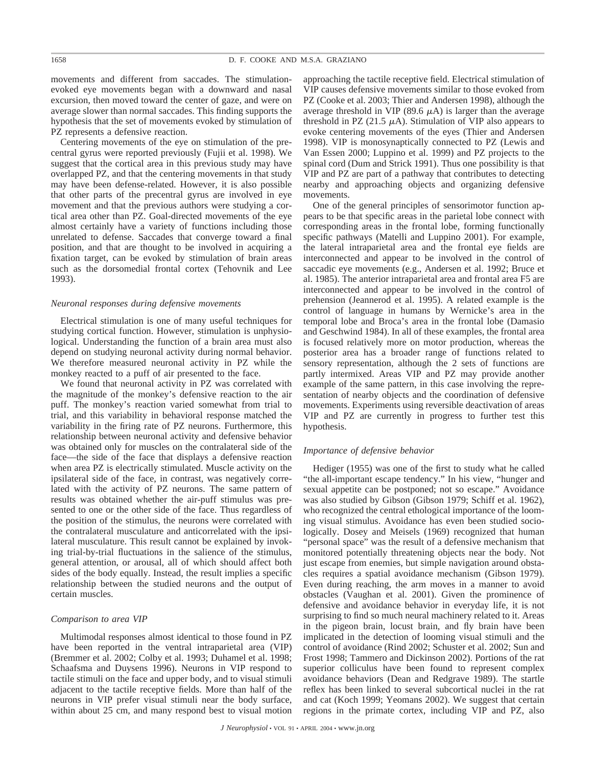movements and different from saccades. The stimulationevoked eye movements began with a downward and nasal excursion, then moved toward the center of gaze, and were on average slower than normal saccades. This finding supports the hypothesis that the set of movements evoked by stimulation of PZ represents a defensive reaction.

Centering movements of the eye on stimulation of the precentral gyrus were reported previously (Fujii et al. 1998). We suggest that the cortical area in this previous study may have overlapped PZ, and that the centering movements in that study may have been defense-related. However, it is also possible that other parts of the precentral gyrus are involved in eye movement and that the previous authors were studying a cortical area other than PZ. Goal-directed movements of the eye almost certainly have a variety of functions including those unrelated to defense. Saccades that converge toward a final position, and that are thought to be involved in acquiring a fixation target, can be evoked by stimulation of brain areas such as the dorsomedial frontal cortex (Tehovnik and Lee 1993).

### *Neuronal responses during defensive movements*

Electrical stimulation is one of many useful techniques for studying cortical function. However, stimulation is unphysiological. Understanding the function of a brain area must also depend on studying neuronal activity during normal behavior. We therefore measured neuronal activity in PZ while the monkey reacted to a puff of air presented to the face.

We found that neuronal activity in PZ was correlated with the magnitude of the monkey's defensive reaction to the air puff. The monkey's reaction varied somewhat from trial to trial, and this variability in behavioral response matched the variability in the firing rate of PZ neurons. Furthermore, this relationship between neuronal activity and defensive behavior was obtained only for muscles on the contralateral side of the face—the side of the face that displays a defensive reaction when area PZ is electrically stimulated. Muscle activity on the ipsilateral side of the face, in contrast, was negatively correlated with the activity of PZ neurons. The same pattern of results was obtained whether the air-puff stimulus was presented to one or the other side of the face. Thus regardless of the position of the stimulus, the neurons were correlated with the contralateral musculature and anticorrelated with the ipsilateral musculature. This result cannot be explained by invoking trial-by-trial fluctuations in the salience of the stimulus, general attention, or arousal, all of which should affect both sides of the body equally. Instead, the result implies a specific relationship between the studied neurons and the output of certain muscles.

#### *Comparison to area VIP*

Multimodal responses almost identical to those found in PZ have been reported in the ventral intraparietal area (VIP) (Bremmer et al. 2002; Colby et al. 1993; Duhamel et al. 1998; Schaafsma and Duysens 1996). Neurons in VIP respond to tactile stimuli on the face and upper body, and to visual stimuli adjacent to the tactile receptive fields. More than half of the neurons in VIP prefer visual stimuli near the body surface, within about 25 cm, and many respond best to visual motion approaching the tactile receptive field. Electrical stimulation of VIP causes defensive movements similar to those evoked from PZ (Cooke et al. 2003; Thier and Andersen 1998), although the average threshold in VIP (89.6  $\mu$ A) is larger than the average threshold in PZ (21.5  $\mu$ A). Stimulation of VIP also appears to evoke centering movements of the eyes (Thier and Andersen 1998). VIP is monosynaptically connected to PZ (Lewis and Van Essen 2000; Luppino et al. 1999) and PZ projects to the spinal cord (Dum and Strick 1991). Thus one possibility is that VIP and PZ are part of a pathway that contributes to detecting nearby and approaching objects and organizing defensive movements.

One of the general principles of sensorimotor function appears to be that specific areas in the parietal lobe connect with corresponding areas in the frontal lobe, forming functionally specific pathways (Matelli and Luppino 2001). For example, the lateral intraparietal area and the frontal eye fields are interconnected and appear to be involved in the control of saccadic eye movements (e.g., Andersen et al. 1992; Bruce et al. 1985). The anterior intraparietal area and frontal area F5 are interconnected and appear to be involved in the control of prehension (Jeannerod et al. 1995). A related example is the control of language in humans by Wernicke's area in the temporal lobe and Broca's area in the frontal lobe (Damasio and Geschwind 1984). In all of these examples, the frontal area is focused relatively more on motor production, whereas the posterior area has a broader range of functions related to sensory representation, although the 2 sets of functions are partly intermixed. Areas VIP and PZ may provide another example of the same pattern, in this case involving the representation of nearby objects and the coordination of defensive movements. Experiments using reversible deactivation of areas VIP and PZ are currently in progress to further test this hypothesis.

# *Importance of defensive behavior*

Hediger (1955) was one of the first to study what he called "the all-important escape tendency." In his view, "hunger and sexual appetite can be postponed; not so escape." Avoidance was also studied by Gibson (Gibson 1979; Schiff et al. 1962), who recognized the central ethological importance of the looming visual stimulus. Avoidance has even been studied sociologically. Dosey and Meisels (1969) recognized that human "personal space" was the result of a defensive mechanism that monitored potentially threatening objects near the body. Not just escape from enemies, but simple navigation around obstacles requires a spatial avoidance mechanism (Gibson 1979). Even during reaching, the arm moves in a manner to avoid obstacles (Vaughan et al. 2001). Given the prominence of defensive and avoidance behavior in everyday life, it is not surprising to find so much neural machinery related to it. Areas in the pigeon brain, locust brain, and fly brain have been implicated in the detection of looming visual stimuli and the control of avoidance (Rind 2002; Schuster et al. 2002; Sun and Frost 1998; Tammero and Dickinson 2002). Portions of the rat superior colliculus have been found to represent complex avoidance behaviors (Dean and Redgrave 1989). The startle reflex has been linked to several subcortical nuclei in the rat and cat (Koch 1999; Yeomans 2002). We suggest that certain regions in the primate cortex, including VIP and PZ, also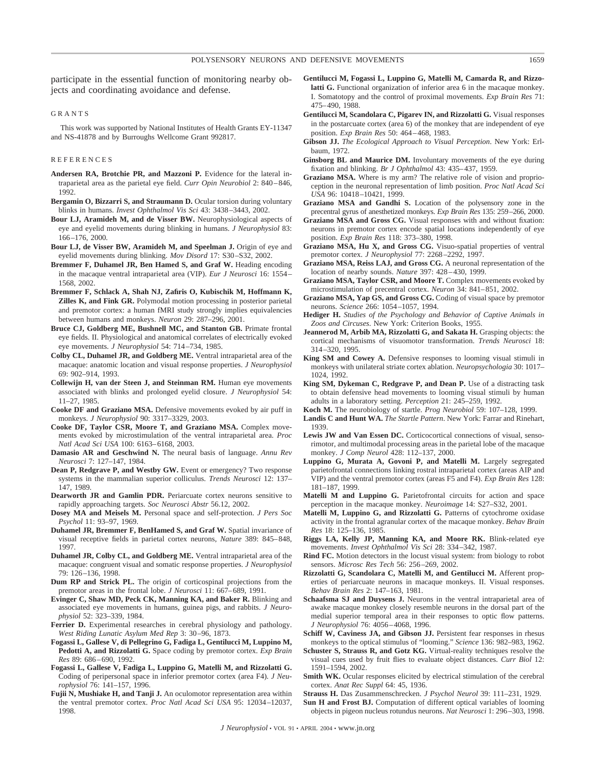participate in the essential function of monitoring nearby objects and coordinating avoidance and defense.

#### GRANTS

This work was supported by National Institutes of Health Grants EY-11347 and NS-41878 and by Burroughs Wellcome Grant 992817.

#### REFERENCES

- **Andersen RA, Brotchie PR, and Mazzoni P.** Evidence for the lateral intraparietal area as the parietal eye field. *Curr Opin Neurobiol* 2: 840–846, 1992.
- **Bergamin O, Bizzarri S, and Straumann D.** Ocular torsion during voluntary blinks in humans. *Invest Ophthalmol Vis Sci* 43: 3438–3443, 2002.
- **Bour LJ, Aramideh M, and de Visser BW.** Neurophysiological aspects of eye and eyelid movements during blinking in humans. *J Neurophysiol* 83: 166–176, 2000.
- **Bour LJ, de Visser BW, Aramideh M, and Speelman J.** Origin of eye and eyelid movements during blinking. *Mov Disord* 17: S30–S32, 2002.
- **Bremmer F, Duhamel JR, Ben Hamed S, and Graf W.** Heading encoding in the macaque ventral intraparietal area (VIP). *Eur J Neurosci* 16: 1554– 1568, 2002.
- **Bremmer F, Schlack A, Shah NJ, Zafiris O, Kubischik M, Hoffmann K, Zilles K, and Fink GR.** Polymodal motion processing in posterior parietal and premotor cortex: a human fMRI study strongly implies equivalencies between humans and monkeys. *Neuron* 29: 287–296, 2001.
- **Bruce CJ, Goldberg ME, Bushnell MC, and Stanton GB.** Primate frontal eye fields. II. Physiological and anatomical correlates of electrically evoked eye movements. *J Neurophysiol* 54: 714–734, 1985.
- **Colby CL, Duhamel JR, and Goldberg ME.** Ventral intraparietal area of the macaque: anatomic location and visual response properties. *J Neurophysiol* 69: 902–914, 1993.
- **Collewijn H, van der Steen J, and Steinman RM.** Human eye movements associated with blinks and prolonged eyelid closure. *J Neurophysiol* 54: 11–27, 1985.
- **Cooke DF and Graziano MSA.** Defensive movements evoked by air puff in monkeys. *J Neurophysiol* 90: 3317–3329, 2003.
- **Cooke DF, Taylor CSR, Moore T, and Graziano MSA.** Complex movements evoked by microstimulation of the ventral intraparietal area. *Proc Natl Acad Sci USA* 100: 6163–6168, 2003.
- **Damasio AR and Geschwind N.** The neural basis of language. *Annu Rev Neurosci* 7: 127–147, 1984.
- **Dean P, Redgrave P, and Westby GW.** Event or emergency? Two response systems in the mammalian superior colliculus. *Trends Neurosci* 12: 137– 147, 1989.
- **Dearworth JR and Gamlin PDR.** Periarcuate cortex neurons sensitive to rapidly approaching targets. *Soc Neurosci Abstr* 56.12, 2002.
- **Dosey MA and Meisels M.** Personal space and self-protection. *J Pers Soc Psychol* 11: 93–97, 1969.
- **Duhamel JR, Bremmer F, BenHamed S, and Graf W.** Spatial invariance of visual receptive fields in parietal cortex neurons, *Nature* 389: 845–848, 1997.
- **Duhamel JR, Colby CL, and Goldberg ME.** Ventral intraparietal area of the macaque: congruent visual and somatic response properties. *J Neurophysiol* 79: 126–136, 1998.
- **Dum RP and Strick PL.** The origin of corticospinal projections from the premotor areas in the frontal lobe. *J Neurosci* 11: 667–689, 1991.
- **Evinger C, Shaw MD, Peck CK, Manning KA, and Baker R.** Blinking and associated eye movements in humans, guinea pigs, and rabbits. *J Neurophysiol* 52: 323–339, 1984.
- Ferrier D. Experimental researches in cerebral physiology and pathology. *West Riding Lunatic Asylum Med Rep* 3: 30–96, 1873.
- **Fogassi L, Gallese V, di Pellegrino G, Fadiga L, Gentilucci M, Luppino M, Pedotti A, and Rizzolatti G.** Space coding by premotor cortex. *Exp Brain Res* 89: 686–690, 1992.
- **Fogassi L, Gallese V, Fadiga L, Luppino G, Matelli M, and Rizzolatti G.** Coding of peripersonal space in inferior premotor cortex (area F4). *J Neurophysiol* 76: 141–157, 1996.
- **Fujii N, Mushiake H, and Tanji J.** An oculomotor representation area within the ventral premotor cortex. *Proc Natl Acad Sci USA* 95: 12034–12037, 1998.
- **Gentilucci M, Fogassi L, Luppino G, Matelli M, Camarda R, and Rizzolatti G.** Functional organization of inferior area 6 in the macaque monkey. I. Somatotopy and the control of proximal movements. *Exp Brain Res* 71: 475–490, 1988.
- **Gentilucci M, Scandolara C, Pigarev IN, and Rizzolatti G.** Visual responses in the postarcuate cortex (area 6) of the monkey that are independent of eye position. *Exp Brain Res* 50: 464–468, 1983.
- **Gibson JJ.** *The Ecological Approach to Visual Perception*. New York: Erlbaum, 1972.
- **Ginsborg BL and Maurice DM.** Involuntary movements of the eye during fixation and blinking. *Br J Ophthalmol* 43: 435–437, 1959.
- **Graziano MSA.** Where is my arm? The relative role of vision and proprioception in the neuronal representation of limb position. *Proc Natl Acad Sci USA* 96: 10418–10421, 1999.
- **Graziano MSA and Gandhi S.** Location of the polysensory zone in the precentral gyrus of anesthetized monkeys. *Exp Brain Res* 135: 259–266, 2000.
- **Graziano MSA and Gross CG.** Visual responses with and without fixation: neurons in premotor cortex encode spatial locations independently of eye position. *Exp Brain Res* 118: 373–380, 1998.
- **Graziano MSA, Hu X, and Gross CG.** Visuo-spatial properties of ventral premotor cortex. *J Neurophysiol* 77: 2268–2292, 1997.
- **Graziano MSA, Reiss LAJ, and Gross CG.** A neuronal representation of the location of nearby sounds. *Nature* 397: 428–430, 1999.
- **Graziano MSA, Taylor CSR, and Moore T.** Complex movements evoked by microstimulation of precentral cortex. *Neuron* 34: 841–851, 2002.
- **Graziano MSA, Yap GS, and Gross CG.** Coding of visual space by premotor neurons. *Science* 266: 1054–1057, 1994.
- **Hediger H.** *Studies of the Psychology and Behavior of Captive Animals in Zoos and Circuses*. New York: Criterion Books, 1955.
- **Jeannerod M, Arbib MA, Rizzolatti G, and Sakata H.** Grasping objects: the cortical mechanisms of visuomotor transformation. *Trends Neurosci* 18: 314–320, 1995.
- **King SM and Cowey A.** Defensive responses to looming visual stimuli in monkeys with unilateral striate cortex ablation. *Neuropsychologia* 30: 1017– 1024, 1992.
- **King SM, Dykeman C, Redgrave P, and Dean P.** Use of a distracting task to obtain defensive head movements to looming visual stimuli by human adults in a laboratory setting. *Perception* 21: 245–259, 1992.
- **Koch M.** The neurobiology of startle. *Prog Neurobiol* 59: 107–128, 1999.
- **Landis C and Hunt WA.** *The Startle Pattern*. New York: Farrar and Rinehart, 1939.
- Lewis JW and Van Essen DC. Corticocortical connections of visual, sensorimotor, and multimodal processing areas in the parietal lobe of the macaque monkey. *J Comp Neurol* 428: 112–137, 2000.
- **Luppino G, Murata A, Govoni P, and Matelli M.** Largely segregated parietofrontal connections linking rostral intraparietal cortex (areas AIP and VIP) and the ventral premotor cortex (areas F5 and F4). *Exp Brain Res* 128: 181–187, 1999.
- **Matelli M and Luppino G.** Parietofrontal circuits for action and space perception in the macaque monkey. *Neuroimage* 14: S27–S32, 2001.
- **Matelli M, Luppino G, and Rizzolatti G.** Patterns of cytochrome oxidase activity in the frontal agranular cortex of the macaque monkey. *Behav Brain Res* 18: 125–136, 1985.
- **Riggs LA, Kelly JP, Manning KA, and Moore RK.** Blink-related eye movements. *Invest Ophthalmol Vis Sci* 28: 334–342, 1987.
- **Rind FC.** Motion detectors in the locust visual system: from biology to robot sensors. *Microsc Res Tech* 56: 256–269, 2002.
- **Rizzolatti G, Scandolara C, Matelli M, and Gentilucci M.** Afferent properties of periarcuate neurons in macaque monkeys. II. Visual responses. *Behav Brain Res* 2: 147–163, 1981.
- **Schaafsma SJ and Duysens J.** Neurons in the ventral intraparietal area of awake macaque monkey closely resemble neurons in the dorsal part of the medial superior temporal area in their responses to optic flow patterns. *J Neurophysiol* 76: 4056–4068, 1996.
- Schiff W, Caviness JA, and Gibson JJ. Persistent fear responses in rhesus monkeys to the optical stimulus of "looming." *Science* 136: 982–983, 1962.
- **Schuster S, Strauss R, and Gotz KG.** Virtual-reality techniques resolve the visual cues used by fruit flies to evaluate object distances. *Curr Biol* 12: 1591–1594, 2002.
- Smith WK. Ocular responses elicited by electrical stimulation of the cerebral cortex. *Anat Rec Suppl* 64: 45, 1936.
- **Strauss H.** Das Zusammenschrecken. *J Psychol Neurol* 39: 111–231, 1929.
- **Sun H and Frost BJ.** Computation of different optical variables of looming objects in pigeon nucleus rotundus neurons. *Nat Neurosci* 1: 296–303, 1998.